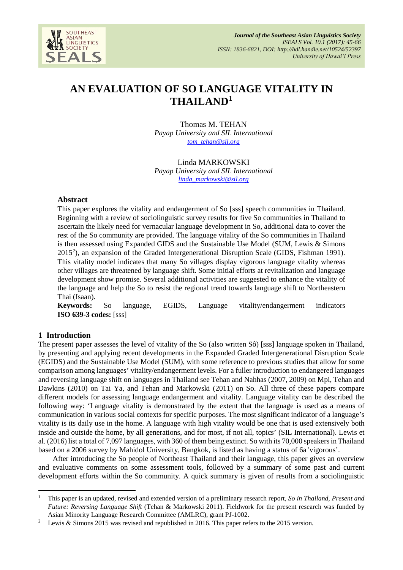

# **AN EVALUATION OF SO LANGUAGE VITALITY IN THAILAND[1](#page-0-0)**

Thomas M. TEHAN *Payap University and SIL International [tom\\_tehan@sil.org](mailto:tom_tehan@sil.org)*

Linda MARKOWSKI *Payap University and SIL International [linda\\_markowski@sil.org](mailto:linda_markowski@sil.org)*

# **Abstract**

This paper explores the vitality and endangerment of So [sss] speech communities in Thailand. Beginning with a review of sociolinguistic survey results for five So communities in Thailand to ascertain the likely need for vernacular language development in So, additional data to cover the rest of the So community are provided. The language vitality of the So communities in Thailand is then assessed using Expanded GIDS and the Sustainable Use Model (SUM, Lewis & Simons  $2015<sup>2</sup>$  $2015<sup>2</sup>$ ), an expansion of the Graded Intergenerational Disruption Scale (GIDS, Fishman 1991). This vitality model indicates that many So villages display vigorous language vitality whereas other villages are threatened by language shift. Some initial efforts at revitalization and language development show promise. Several additional activities are suggested to enhance the vitality of the language and help the So to resist the regional trend towards language shift to Northeastern Thai (Isaan).

**Keywords:** So language, EGIDS, Language vitality/endangerment indicators **ISO 639-3 codes:** [sss]

# **1 Introduction**

**.** 

The present paper assesses the level of vitality of the So (also written Sô) [sss] language spoken in Thailand, by presenting and applying recent developments in the Expanded Graded Intergenerational Disruption Scale (EGIDS) and the Sustainable Use Model (SUM), with some reference to previous studies that allow for some comparison among languages' vitality/endangerment levels. For a fuller introduction to endangered languages and reversing language shift on languages in Thailand see Tehan and Nahhas (2007, 2009) on Mpi, Tehan and Dawkins (2010) on Tai Ya, and Tehan and Markowski (2011) on So. All three of these papers compare different models for assessing language endangerment and vitality. Language vitality can be described the following way: 'Language vitality is demonstrated by the extent that the language is used as a means of communication in various social contexts for specific purposes. The most significant indicator of a language's vitality is its daily use in the home. A language with high vitality would be one that is used extensively both inside and outside the home, by all generations, and for most, if not all, topics' (SIL International). Lewis et al. (2016) list a total of 7,097 languages, with 360 of them being extinct. So with its 70,000 speakers in Thailand based on a 2006 survey by Mahidol University, Bangkok, is listed as having a status of 6a 'vigorous'.

After introducing the So people of Northeast Thailand and their language, this paper gives an overview and evaluative comments on some assessment tools, followed by a summary of some past and current development efforts within the So community. A quick summary is given of results from a sociolinguistic

<span id="page-0-0"></span><sup>1</sup> This paper is an updated, revised and extended version of a preliminary research report, *So in Thailand, Present and Future: Reversing Language Shift* (Tehan & Markowski 2011). Fieldwork for the present research was funded by Asian Minority Language Research Committee (AMLRC), grant PJ-1002.

<span id="page-0-1"></span>Lewis & Simons 2015 was revised and republished in 2016. This paper refers to the 2015 version.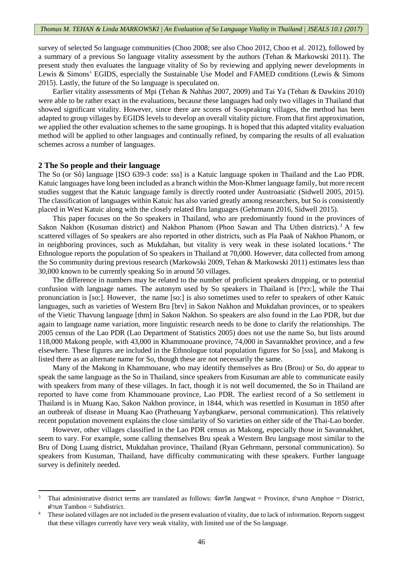survey of selected So language communities (Choo 2008; see also Choo 2012, Choo et al. 2012), followed by a summary of a previous So language vitality assessment by the authors (Tehan & Markowski 2011). The present study then evaluates the language vitality of So by reviewing and applying newer developments in Lewis & Simons' EGIDS, especially the Sustainable Use Model and FAMED conditions (Lewis & Simons 2015). Lastly, the future of the So language is speculated on.

Earlier vitality assessments of Mpi (Tehan & Nahhas 2007, 2009) and Tai Ya (Tehan & Dawkins 2010) were able to be rather exact in the evaluations, because these languages had only two villages in Thailand that showed significant vitality. However, since there are scores of So-speaking villages, the method has been adapted to group villages by EGIDS levels to develop an overall vitality picture. From that first approximation, we applied the other evaluation schemes to the same groupings. It is hoped that this adapted vitality evaluation method will be applied to other languages and continually refined, by comparing the results of all evaluation schemes across a number of languages.

#### **2 The So people and their language**

**.** 

The So (or Sô) language [ISO 639-3 code: sss] is a Katuic language spoken in Thailand and the Lao PDR. Katuic languages have long been included as a branch within the Mon-Khmer language family, but more recent studies suggest that the Katuic language family is directly rooted under Austroasiatic (Sidwell 2005, 2015). The classification of languages within Katuic has also varied greatly among researchers, but So is consistently placed in West Katuic along with the closely related Bru languages (Gehrmann 2016, Sidwell 2015).

This paper focuses on the So speakers in Thailand, who are predominantly found in the provinces of Sakon Nakhon (Kusuman district) and Nakhon Phanom (Phon Sawan and Tha Uthen districts).<sup>[3](#page-1-0)</sup> A few scattered villages of So speakers are also reported in other districts, such as Pla Paak of Nakhon Phanom, or in neighboring provinces, such as Mukdahan, but vitality is very weak in these isolated locations. [4](#page-1-1) The Ethnologue reports the population of So speakers in Thailand at 70,000. However, data collected from among the So community during previous research (Markowski 2009, Tehan & Markowski 2011) estimates less than 30,000 known to be currently speaking So in around 50 villages.

The difference in numbers may be related to the number of proficient speakers dropping, or to potential confusion with language names. The autonym used by So speakers in Thailand is  $[t<sup>h</sup>rs]$ , while the Thai pronunciation is [so:]. However, the name [so:] is also sometimes used to refer to speakers of other Katuic languages, such as varieties of Western Bru [brv] in Sakon Nakhon and Mukdahan provinces, or to speakers of the Vietic Thavung language [thm] in Sakon Nakhon. So speakers are also found in the Lao PDR, but due again to language name variation, more linguistic research needs to be done to clarify the relationships. The 2005 census of the Lao PDR (Lao Department of Statistics 2005) does not use the name So, but lists around 118,000 Makong people, with 43,000 in Khammouane province, 74,000 in Savannakhet province, and a few elsewhere. These figures are included in the Ethnologue total population figures for So [sss], and Makong is listed there as an alternate name for So, though these are not necessarily the same.

Many of the Makong in Khammouane, who may identify themselves as Bru (Brou) or So, do appear to speak the same language as the So in Thailand, since speakers from Kusuman are able to communicate easily with speakers from many of these villages. In fact, though it is not well documented, the So in Thailand are reported to have come from Khammouane province, Lao PDR. The earliest record of a So settlement in Thailand is in Muang Kao, Sakon Nakhon province, in 1844, which was resettled in Kusuman in 1850 after an outbreak of disease in Muang Kao (Pratheuang Yaybangkaew, personal communication). This relatively recent population movement explains the close similarity of So varieties on either side of the Thai-Lao border.

However, other villages classified in the Lao PDR census as Makong, especially those in Savannakhet, seem to vary. For example, some calling themselves Bru speak a Western Bru language most similar to the Bru of Dong Luang district, Mukdahan province, Thailand (Ryan Gehrmann, personal communication). So speakers from Kusuman, Thailand, have difficulty communicating with these speakers. Further language survey is definitely needed.

<span id="page-1-0"></span><sup>3</sup> Thai administrative district terms are translated as follows: จังหวัด Jangwat = Province, อําเภอ Amphoe = District, ตําบล Tambon = Subdistrict.

<span id="page-1-1"></span>These isolated villages are not included in the present evaluation of vitality, due to lack of information. Reports suggest that these villages currently have very weak vitality, with limited use of the So language.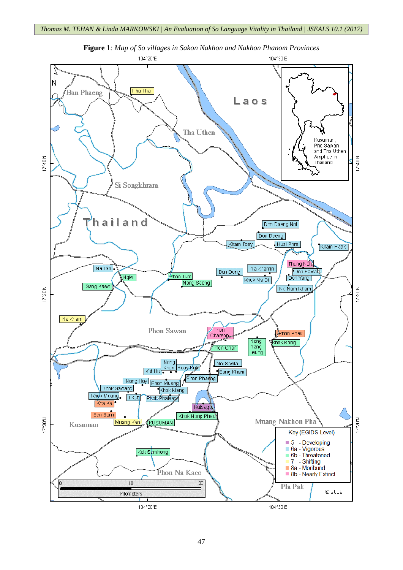

**Figure 1***: Map of So villages in Sakon Nakhon and Nakhon Phanom Provinces*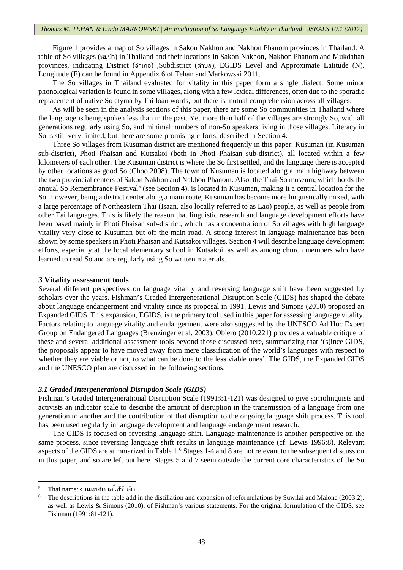Figure 1 provides a map of So villages in Sakon Nakhon and Nakhon Phanom provinces in Thailand. A table of So villages (หมู่บ้า) in Thailand and their locations in Sakon Nakhon, Nakhon Phanom and Mukdahan provinces, indicating District (อําเภอ) ,Subdistrict (ตําบล), EGIDS Level and Approximate Latitude (N), Longitude (E) can be found in Appendix 6 of Tehan and Markowski 2011.

The So villages in Thailand evaluated for vitality in this paper form a single dialect. Some minor phonological variation is found in some villages, along with a few lexical differences, often due to the sporadic replacement of native So etyma by Tai loan words, but there is mutual comprehension across all villages.

As will be seen in the analysis sections of this paper, there are some So communities in Thailand where the language is being spoken less than in the past. Yet more than half of the villages are strongly So, with all generations regularly using So, and minimal numbers of non-So speakers living in those villages. Literacy in So is still very limited, but there are some promising efforts, described in Section 4.

Three So villages from Kusuman district are mentioned frequently in this paper: Kusuman (in Kusuman sub-district), Photi Phaisan and Kutsakoi (both in Photi Phaisan sub-district), all located within a few kilometers of each other. The Kusuman district is where the So first settled, and the language there is accepted by other locations as good So (Choo 2008). The town of Kusuman is located along a main highway between the two provincial centers of Sakon Nakhon and Nakhon Phanom. Also, the Thai-So museum, which holds the annual So Remembrance Festival<sup>[5](#page-3-0)</sup> (see Section 4), is located in Kusuman, making it a central location for the So. However, being a district center along a main route, Kusuman has become more linguistically mixed, with a large percentage of Northeastern Thai (Isaan, also locally referred to as Lao) people, as well as people from other Tai languages. This is likely the reason that linguistic research and language development efforts have been based mainly in Photi Phaisan sub-district, which has a concentration of So villages with high language vitality very close to Kusuman but off the main road. A strong interest in language maintenance has been shown by some speakers in Photi Phaisan and Kutsakoi villages. Section 4 will describe language development efforts, especially at the local elementary school in Kutsakoi, as well as among church members who have learned to read So and are regularly using So written materials.

#### **3 Vitality assessment tools**

Several different perspectives on language vitality and reversing language shift have been suggested by scholars over the years. Fishman's Graded Intergenerational Disruption Scale (GIDS) has shaped the debate about language endangerment and vitality since its proposal in 1991. Lewis and Simons (2010) proposed an Expanded GIDS. This expansion, EGIDS, is the primary tool used in this paper for assessing language vitality. Factors relating to language vitality and endangerment were also suggested by the UNESCO Ad Hoc Expert Group on Endangered Languages (Brenzinger et al. 2003). Obiero (2010:221) provides a valuable critique of these and several additional assessment tools beyond those discussed here, summarizing that '(s)ince GIDS, the proposals appear to have moved away from mere classification of the world's languages with respect to whether they are viable or not, to what can be done to the less viable ones'. The GIDS, the Expanded GIDS and the UNESCO plan are discussed in the following sections.

## *3.1 Graded Intergenerational Disruption Scale (GIDS)*

Fishman's Graded Intergenerational Disruption Scale (1991:81-121) was designed to give sociolinguists and activists an indicator scale to describe the amount of disruption in the transmission of a language from one generation to another and the contribution of that disruption to the ongoing language shift process. This tool has been used regularly in language development and language endangerment research.

The GIDS is focused on reversing language shift. Language maintenance is another perspective on the same process, since reversing language shift results in language maintenance (cf. Lewis 1996:8). Relevant aspects of the GIDS are summarized in Table 1.[6](#page-3-1) Stages 1-4 and 8 are not relevant to the subsequent discussion in this paper, and so are left out here. Stages 5 and 7 seem outside the current core characteristics of the So

<span id="page-3-1"></span><span id="page-3-0"></span> $5$  Thai name: งานเทศกาลโส้รำลึก

The descriptions in the table add in the distillation and expansion of reformulations by Suwilai and Malone (2003:2), as well as Lewis & Simons (2010), of Fishman's various statements. For the original formulation of the GIDS, see Fishman (1991:81-121).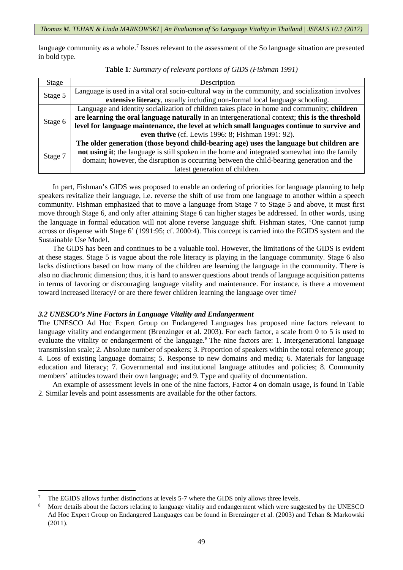language community as a whole.<sup>[7](#page-4-0)</sup> Issues relevant to the assessment of the So language situation are presented in bold type.

|  |  |  |  |  |  | Table 1: Summary of relevant portions of GIDS (Fishman 1991) |  |
|--|--|--|--|--|--|--------------------------------------------------------------|--|
|--|--|--|--|--|--|--------------------------------------------------------------|--|

| Stage   | Description                                                                                      |
|---------|--------------------------------------------------------------------------------------------------|
|         | Language is used in a vital oral socio-cultural way in the community, and socialization involves |
| Stage 5 | extensive literacy, usually including non-formal local language schooling.                       |
|         | Language and identity socialization of children takes place in home and community; children      |
|         | are learning the oral language naturally in an intergenerational context; this is the threshold  |
| Stage 6 | level for language maintenance, the level at which small languages continue to survive and       |
|         | even thrive (cf. Lewis 1996: 8; Fishman 1991: 92).                                               |
|         | The older generation (those beyond child-bearing age) uses the language but children are         |
| Stage 7 | not using it; the language is still spoken in the home and integrated somewhat into the family   |
|         | domain; however, the disruption is occurring between the child-bearing generation and the        |
|         | latest generation of children.                                                                   |

In part, Fishman's GIDS was proposed to enable an ordering of priorities for language planning to help speakers revitalize their language, i.e. reverse the shift of use from one language to another within a speech community. Fishman emphasized that to move a language from Stage 7 to Stage 5 and above, it must first move through Stage 6, and only after attaining Stage 6 can higher stages be addressed. In other words, using the language in formal education will not alone reverse language shift. Fishman states, 'One cannot jump across or dispense with Stage 6' (1991:95; cf. 2000:4). This concept is carried into the EGIDS system and the Sustainable Use Model.

The GIDS has been and continues to be a valuable tool. However, the limitations of the GIDS is evident at these stages. Stage 5 is vague about the role literacy is playing in the language community. Stage 6 also lacks distinctions based on how many of the children are learning the language in the community. There is also no diachronic dimension; thus, it is hard to answer questions about trends of language acquisition patterns in terms of favoring or discouraging language vitality and maintenance. For instance, is there a movement toward increased literacy? or are there fewer children learning the language over time?

## *3.2 UNESCO's Nine Factors in Language Vitality and Endangerment*

The UNESCO Ad Hoc Expert Group on Endangered Languages has proposed nine factors relevant to language vitality and endangerment (Brenzinger et al. 2003). For each factor, a scale from 0 to 5 is used to evaluate the vitality or endangerment of the language.<sup>[8](#page-4-1)</sup> The nine factors are: 1. Intergenerational language transmission scale; 2. Absolute number of speakers; 3. Proportion of speakers within the total reference group; 4. Loss of existing language domains; 5. Response to new domains and media; 6. Materials for language education and literacy; 7. Governmental and institutional language attitudes and policies; 8. Community members' attitudes toward their own language; and 9. Type and quality of documentation.

An example of assessment levels in one of the nine factors, Factor 4 on domain usage, is found in Table 2. Similar levels and point assessments are available for the other factors.

<span id="page-4-0"></span><sup>7</sup> The EGIDS allows further distinctions at levels 5-7 where the GIDS only allows three levels.

<span id="page-4-1"></span><sup>8</sup> More details about the factors relating to language vitality and endangerment which were suggested by the UNESCO Ad Hoc Expert Group on Endangered Languages can be found in Brenzinger et al. (2003) and Tehan & Markowski (2011).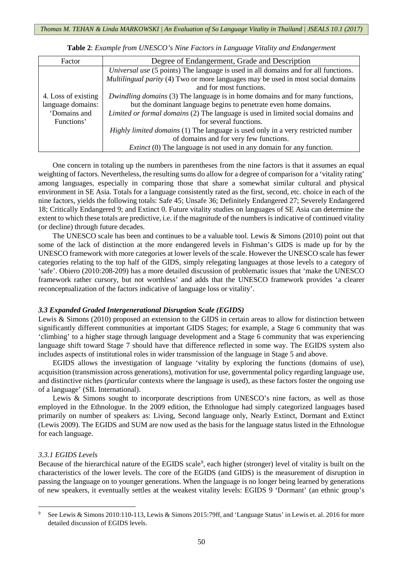| Factor              | Degree of Endangerment, Grade and Description                                           |  |  |  |  |
|---------------------|-----------------------------------------------------------------------------------------|--|--|--|--|
|                     | Universal use (5 points) The language is used in all domains and for all functions.     |  |  |  |  |
|                     | <i>Multilingual parity</i> (4) Two or more languages may be used in most social domains |  |  |  |  |
|                     | and for most functions.                                                                 |  |  |  |  |
| 4. Loss of existing | Dwindling domains (3) The language is in home domains and for many functions,           |  |  |  |  |
| language domains:   | but the dominant language begins to penetrate even home domains.                        |  |  |  |  |
| 'Domains and        | Limited or formal domains (2) The language is used in limited social domains and        |  |  |  |  |
| Functions'          | for several functions.                                                                  |  |  |  |  |
|                     | Highly limited domains (1) The language is used only in a very restricted number        |  |  |  |  |
|                     | of domains and for very few functions.                                                  |  |  |  |  |
|                     | <i>Extinct</i> (0) The language is not used in any domain for any function.             |  |  |  |  |

**Table 2**: *Example from UNESCO's Nine Factors in Language Vitality and Endangerment*

One concern in totaling up the numbers in parentheses from the nine factors is that it assumes an equal weighting of factors. Nevertheless, the resulting sums do allow for a degree of comparison for a 'vitality rating' among languages, especially in comparing those that share a somewhat similar cultural and physical environment in SE Asia. Totals for a language consistently rated as the first, second, etc. choice in each of the nine factors, yields the following totals: Safe 45; Unsafe 36; Definitely Endangered 27; Severely Endangered 18; Critically Endangered 9; and Extinct 0. Future vitality studies on languages of SE Asia can determine the extent to which these totals are predictive, i.e. if the magnitude of the numbers is indicative of continued vitality (or decline) through future decades.

The UNESCO scale has been and continues to be a valuable tool. Lewis & Simons (2010) point out that some of the lack of distinction at the more endangered levels in Fishman's GIDS is made up for by the UNESCO framework with more categories at lower levels of the scale. However the UNESCO scale has fewer categories relating to the top half of the GIDS, simply relegating languages at those levels to a category of 'safe'. Obiero (2010:208-209) has a more detailed discussion of problematic issues that 'make the UNESCO framework rather cursory, but not worthless' and adds that the UNESCO framework provides 'a clearer reconceptualization of the factors indicative of language loss or vitality'.

## *3.3 Expanded Graded Intergenerational Disruption Scale (EGIDS)*

Lewis & Simons (2010) proposed an extension to the GIDS in certain areas to allow for distinction between significantly different communities at important GIDS Stages; for example, a Stage 6 community that was 'climbing' to a higher stage through language development and a Stage 6 community that was experiencing language shift toward Stage 7 should have that difference reflected in some way. The EGIDS system also includes aspects of institutional roles in wider transmission of the language in Stage 5 and above.

EGIDS allows the investigation of language 'vitality by exploring the functions (domains of use), acquisition (transmission across generations), motivation for use, governmental policy regarding language use, and distinctive niches (*particular* contexts where the language is used), as these factors foster the ongoing use of a language' (SIL International).

Lewis & Simons sought to incorporate descriptions from UNESCO's nine factors, as well as those employed in the Ethnologue. In the 2009 edition, the Ethnologue had simply categorized languages based primarily on number of speakers as: Living, Second language only, Nearly Extinct, Dormant and Extinct (Lewis 2009). The EGIDS and SUM are now used as the basis for the language status listed in the Ethnologue for each language.

## *3.3.1 EGIDS Levels*

**.** 

Because of the hierarchical nature of the EGIDS scale<sup>[9](#page-5-0)</sup>, each higher (stronger) level of vitality is built on the characteristics of the lower levels. The core of the EGIDS (and GIDS) is the measurement of disruption in passing the language on to younger generations. When the language is no longer being learned by generations of new speakers, it eventually settles at the weakest vitality levels: EGIDS 9 'Dormant' (an ethnic group's

<span id="page-5-0"></span>See Lewis & Simons 2010:110-113, Lewis & Simons 2015:79ff, and 'Language Status' in Lewis et. al. 2016 for more detailed discussion of EGIDS levels.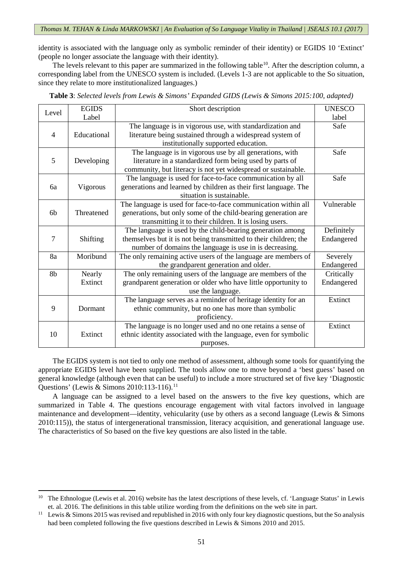identity is associated with the language only as symbolic reminder of their identity) or EGIDS 10 'Extinct' (people no longer associate the language with their identity).

The levels relevant to this paper are summarized in the following table<sup>10</sup>. After the description column, a corresponding label from the UNESCO system is included. (Levels 1-3 are not applicable to the So situation, since they relate to more institutionalized languages.)

|  | Table 3: Selected levels from Lewis & Simons' Expanded GIDS (Lewis & Simons 2015:100, adapted) |  |
|--|------------------------------------------------------------------------------------------------|--|
|--|------------------------------------------------------------------------------------------------|--|

|                | <b>EGIDS</b><br>Short description<br>Level |                                                                   | <b>UNESCO</b> |
|----------------|--------------------------------------------|-------------------------------------------------------------------|---------------|
| Label          |                                            |                                                                   | label         |
|                |                                            | The language is in vigorous use, with standardization and         | Safe          |
| $\overline{4}$ | Educational                                | literature being sustained through a widespread system of         |               |
|                |                                            | institutionally supported education.                              |               |
|                |                                            | The language is in vigorous use by all generations, with          | Safe          |
| 5              | Developing                                 | literature in a standardized form being used by parts of          |               |
|                |                                            | community, but literacy is not yet widespread or sustainable.     |               |
|                |                                            | The language is used for face-to-face communication by all        | Safe          |
| 6a             | Vigorous                                   | generations and learned by children as their first language. The  |               |
|                |                                            | situation is sustainable.                                         |               |
|                |                                            | The language is used for face-to-face communication within all    | Vulnerable    |
| 6 <sub>b</sub> | Threatened                                 | generations, but only some of the child-bearing generation are    |               |
|                |                                            | transmitting it to their children. It is losing users.            |               |
|                |                                            | The language is used by the child-bearing generation among        | Definitely    |
| 7              | Shifting                                   | themselves but it is not being transmitted to their children; the | Endangered    |
|                |                                            | number of domains the language is use in is decreasing.           |               |
| 8a             | Moribund                                   | The only remaining active users of the language are members of    | Severely      |
|                |                                            | the grandparent generation and older.                             | Endangered    |
| 8b             | Nearly                                     | The only remaining users of the language are members of the       | Critically    |
|                | Extinct                                    | grandparent generation or older who have little opportunity to    | Endangered    |
|                |                                            | use the language.                                                 |               |
|                |                                            | The language serves as a reminder of heritage identity for an     | Extinct       |
| 9              | Dormant                                    | ethnic community, but no one has more than symbolic               |               |
|                |                                            | proficiency.                                                      |               |
|                |                                            | The language is no longer used and no one retains a sense of      | Extinct       |
| 10             | Extinct                                    | ethnic identity associated with the language, even for symbolic   |               |
|                |                                            | purposes.                                                         |               |

The EGIDS system is not tied to only one method of assessment, although some tools for quantifying the appropriate EGIDS level have been supplied. The tools allow one to move beyond a 'best guess' based on general knowledge (although even that can be useful) to include a more structured set of five key 'Diagnostic Questions' (Lewis & Simons 2010:[11](#page-6-1)3-116).<sup>11</sup>

A language can be assigned to a level based on the answers to the five key questions, which are summarized in Table 4. The questions encourage engagement with vital factors involved in language maintenance and development—identity, vehicularity (use by others as a second language (Lewis & Simons 2010:115)), the status of intergenerational transmission, literacy acquisition, and generational language use. The characteristics of So based on the five key questions are also listed in the table.

<span id="page-6-0"></span><sup>&</sup>lt;sup>10</sup> The Ethnologue (Lewis et al. 2016) website has the latest descriptions of these levels, cf. 'Language Status' in Lewis

<span id="page-6-1"></span>et. al. 2016. The definitions in this table utilize wording from the definitions on the web site in part.<br><sup>11</sup> Lewis & Simons 2015 was revised and republished in 2016 with only four key diagnostic questions, but the So ana had been completed following the five questions described in Lewis & Simons 2010 and 2015.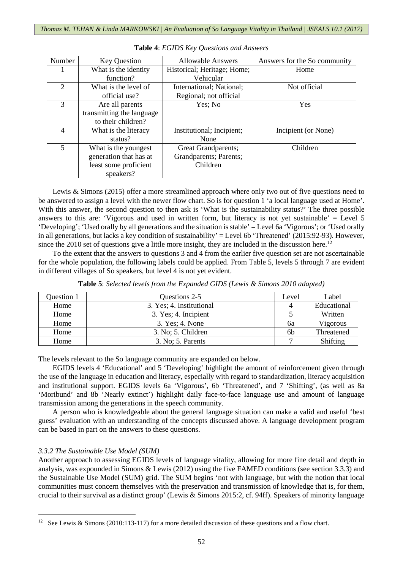| Number                  | <b>Key Question</b>       | <b>Allowable Answers</b>    | Answers for the So community |
|-------------------------|---------------------------|-----------------------------|------------------------------|
|                         | What is the identity      | Historical; Heritage; Home; | Home                         |
|                         | function?                 | Vehicular                   |                              |
| 2                       | What is the level of      | International; National;    | Not official                 |
|                         | official use?             | Regional; not official      |                              |
| 3                       | Are all parents           | Yes: No                     | Yes                          |
|                         | transmitting the language |                             |                              |
|                         | to their children?        |                             |                              |
| 4                       | What is the literacy      | Institutional; Incipient;   | Incipient (or None)          |
|                         | status?                   | None                        |                              |
| $\overline{\mathbf{5}}$ | What is the youngest      | Great Grandparents;         | Children                     |
|                         | generation that has at    | Grandparents; Parents;      |                              |
|                         | least some proficient     | Children                    |                              |
|                         | speakers?                 |                             |                              |

**Table 4**: *EGIDS Key Questions and Answers*

Lewis & Simons (2015) offer a more streamlined approach where only two out of five questions need to be answered to assign a level with the newer flow chart. So is for question 1 'a local language used at Home'. With this answer, the second question to then ask is 'What is the sustainability status?' The three possible answers to this are: 'Vigorous and used in written form, but literacy is not yet sustainable' = Level 5 'Developing'; 'Used orally by all generations and the situation is stable' = Level 6a 'Vigorous'; or 'Used orally in all generations, but lacks a key condition of sustainability' = Level 6b 'Threatened' (2015:92-93). However, since the 2010 set of questions give a little more insight, they are included in the discussion here.<sup>[12](#page-7-0)</sup>

To the extent that the answers to questions 3 and 4 from the earlier five question set are not ascertainable for the whole population, the following labels could be applied. From Table 5, levels 5 through 7 are evident in different villages of So speakers, but level 4 is not yet evident.

| Question 1 | Questions 2-5            | Level          | Label       |
|------------|--------------------------|----------------|-------------|
| Home       | 3. Yes; 4. Institutional | 4              | Educational |
| Home       | 3. Yes; 4. Incipient     |                | Written     |
| Home       | 3. Yes; 4. None          | 6a             | Vigorous    |
| Home       | 3. No; 5. Children       | 6 <sub>b</sub> | Threatened  |
| Home       | 3. No; 5. Parents        |                | Shifting    |

**Table 5**: *Selected levels from the Expanded GIDS (Lewis & Simons 2010 adapted)*

The levels relevant to the So language community are expanded on below.

EGIDS levels 4 'Educational' and 5 'Developing' highlight the amount of reinforcement given through the use of the language in education and literacy, especially with regard to standardization, literacy acquisition and institutional support. EGIDS levels 6a 'Vigorous', 6b 'Threatened', and 7 'Shifting', (as well as 8a 'Moribund' and 8b 'Nearly extinct') highlight daily face-to-face language use and amount of language transmission among the generations in the speech community.

A person who is knowledgeable about the general language situation can make a valid and useful 'best guess' evaluation with an understanding of the concepts discussed above. A language development program can be based in part on the answers to these questions.

# *3.3.2 The Sustainable Use Model (SUM)*

**.** 

Another approach to assessing EGIDS levels of language vitality, allowing for more fine detail and depth in analysis, was expounded in Simons & Lewis (2012) using the five FAMED conditions (see section 3.3.3) and the Sustainable Use Model (SUM) grid. The SUM begins 'not with language, but with the notion that local communities must concern themselves with the preservation and transmission of knowledge that is, for them, crucial to their survival as a distinct group' (Lewis & Simons 2015:2, cf. 94ff). Speakers of minority language

<span id="page-7-0"></span><sup>&</sup>lt;sup>12</sup> See Lewis & Simons (2010:113-117) for a more detailed discussion of these questions and a flow chart.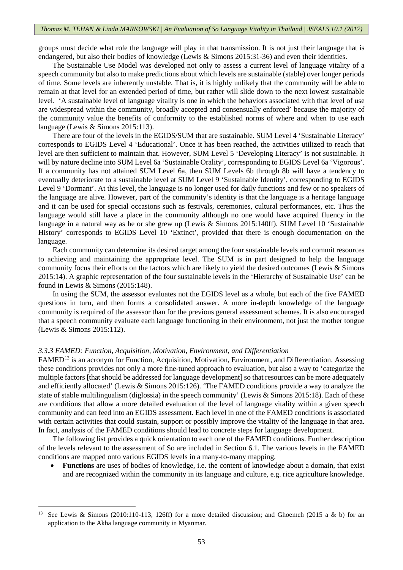groups must decide what role the language will play in that transmission. It is not just their language that is endangered, but also their bodies of knowledge (Lewis & Simons 2015:31-36) and even their identities.

The Sustainable Use Model was developed not only to assess a current level of language vitality of a speech community but also to make predictions about which levels are sustainable (stable) over longer periods of time. Some levels are inherently unstable. That is, it is highly unlikely that the community will be able to remain at that level for an extended period of time, but rather will slide down to the next lowest sustainable level. 'A sustainable level of language vitality is one in which the behaviors associated with that level of use are widespread within the community, broadly accepted and consensually enforced' because the majority of the community value the benefits of conformity to the established norms of where and when to use each language (Lewis & Simons 2015:113).

There are four of the levels in the EGIDS/SUM that are sustainable. SUM Level 4 'Sustainable Literacy' corresponds to EGIDS Level 4 'Educational'. Once it has been reached, the activities utilized to reach that level are then sufficient to maintain that. However, SUM Level 5 'Developing Literacy' is not sustainable. It will by nature decline into SUM Level 6a 'Sustainable Orality', corresponding to EGIDS Level 6a 'Vigorous'. If a community has not attained SUM Level 6a, then SUM Levels 6b through 8b will have a tendency to eventually deteriorate to a sustainable level at SUM Level 9 'Sustainable Identity', corresponding to EGIDS Level 9 'Dormant'. At this level, the language is no longer used for daily functions and few or no speakers of the language are alive. However, part of the community's identity is that the language is a heritage language and it can be used for special occasions such as festivals, ceremonies, cultural performances, etc. Thus the language would still have a place in the community although no one would have acquired fluency in the language in a natural way as he or she grew up (Lewis & Simons 2015:140ff). SUM Level 10 'Sustainable History' corresponds to EGIDS Level 10 'Extinct', provided that there is enough documentation on the language.

Each community can determine its desired target among the four sustainable levels and commit resources to achieving and maintaining the appropriate level. The SUM is in part designed to help the language community focus their efforts on the factors which are likely to yield the desired outcomes (Lewis & Simons 2015:14). A graphic representation of the four sustainable levels in the 'Hierarchy of Sustainable Use' can be found in Lewis & Simons (2015:148).

In using the SUM, the assessor evaluates not the EGIDS level as a whole, but each of the five FAMED questions in turn, and then forms a consolidated answer. A more in-depth knowledge of the language community is required of the assessor than for the previous general assessment schemes. It is also encouraged that a speech community evaluate each language functioning in their environment, not just the mother tongue (Lewis & Simons 2015:112).

#### *3.3.3 FAMED: Function, Acquisition, Motivation, Environment, and Differentiation*

**.** 

FAMED[13](#page-8-0) is an acronym for Function, Acquisition, Motivation, Environment, and Differentiation. Assessing these conditions provides not only a more fine-tuned approach to evaluation, but also a way to 'categorize the multiple factors [that should be addressed for language development] so that resources can be more adequately and efficiently allocated' (Lewis & Simons 2015:126). 'The FAMED conditions provide a way to analyze the state of stable multilingualism (diglossia) in the speech community' (Lewis & Simons 2015:18). Each of these are conditions that allow a more detailed evaluation of the level of language vitality within a given speech community and can feed into an EGIDS assessment. Each level in one of the FAMED conditions is associated with certain activities that could sustain, support or possibly improve the vitality of the language in that area. In fact, analysis of the FAMED conditions should lead to concrete steps for language development.

The following list provides a quick orientation to each one of the FAMED conditions. Further description of the levels relevant to the assessment of So are included in Section 6.1. The various levels in the FAMED conditions are mapped onto various EGIDS levels in a many-to-many mapping.

• **Functions** are uses of bodies of knowledge, i.e. the content of knowledge about a domain, that exist and are recognized within the community in its language and culture, e.g. rice agriculture knowledge.

<span id="page-8-0"></span><sup>&</sup>lt;sup>13</sup> See Lewis & Simons (2010:110-113, 126ff) for a more detailed discussion; and Ghoemeh (2015 a & b) for an application to the Akha language community in Myanmar.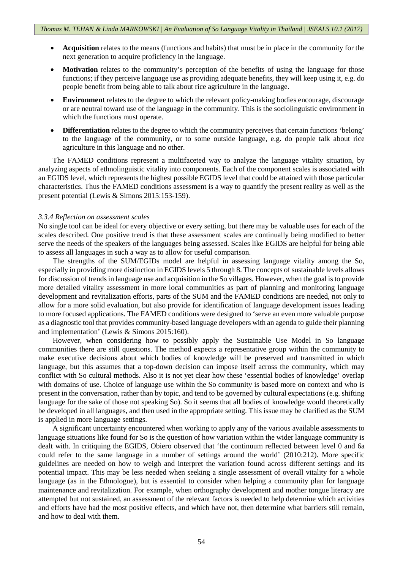- **Acquisition** relates to the means (functions and habits) that must be in place in the community for the next generation to acquire proficiency in the language.
- **Motivation** relates to the community's perception of the benefits of using the language for those functions; if they perceive language use as providing adequate benefits, they will keep using it, e.g. do people benefit from being able to talk about rice agriculture in the language.
- **Environment** relates to the degree to which the relevant policy-making bodies encourage, discourage or are neutral toward use of the language in the community. This is the sociolinguistic environment in which the functions must operate.
- **Differentiation** relates to the degree to which the community perceives that certain functions 'belong' to the language of the community, or to some outside language, e.g. do people talk about rice agriculture in this language and no other.

The FAMED conditions represent a multifaceted way to analyze the language vitality situation, by analyzing aspects of ethnolinguistic vitality into components. Each of the component scales is associated with an EGIDS level, which represents the highest possible EGIDS level that could be attained with those particular characteristics. Thus the FAMED conditions assessment is a way to quantify the present reality as well as the present potential (Lewis & Simons 2015:153-159).

#### *3.3.4 Reflection on assessment scales*

No single tool can be ideal for every objective or every setting, but there may be valuable uses for each of the scales described. One positive trend is that these assessment scales are continually being modified to better serve the needs of the speakers of the languages being assessed. Scales like EGIDS are helpful for being able to assess all languages in such a way as to allow for useful comparison.

The strengths of the SUM/EGIDs model are helpful in assessing language vitality among the So, especially in providing more distinction in EGIDS levels 5 through 8. The concepts of sustainable levels allows for discussion of trends in language use and acquisition in the So villages. However, when the goal is to provide more detailed vitality assessment in more local communities as part of planning and monitoring language development and revitalization efforts, parts of the SUM and the FAMED conditions are needed, not only to allow for a more solid evaluation, but also provide for identification of language development issues leading to more focused applications. The FAMED conditions were designed to 'serve an even more valuable purpose as a diagnostic tool that provides community-based language developers with an agenda to guide their planning and implementation' (Lewis & Simons 2015:160).

However, when considering how to possibly apply the Sustainable Use Model in So language communities there are still questions. The method expects a representative group within the community to make executive decisions about which bodies of knowledge will be preserved and transmitted in which language, but this assumes that a top-down decision can impose itself across the community, which may conflict with So cultural methods. Also it is not yet clear how these 'essential bodies of knowledge' overlap with domains of use. Choice of language use within the So community is based more on context and who is present in the conversation, rather than by topic, and tend to be governed by cultural expectations (e.g. shifting language for the sake of those not speaking So). So it seems that all bodies of knowledge would theoretically be developed in all languages, and then used in the appropriate setting. This issue may be clarified as the SUM is applied in more language settings.

A significant uncertainty encountered when working to apply any of the various available assessments to language situations like found for So is the question of how variation within the wider language community is dealt with. In critiquing the EGIDS, Obiero observed that 'the continuum reflected between level 0 and 6a could refer to the same language in a number of settings around the world' (2010:212). More specific guidelines are needed on how to weigh and interpret the variation found across different settings and its potential impact. This may be less needed when seeking a single assessment of overall vitality for a whole language (as in the Ethnologue), but is essential to consider when helping a community plan for language maintenance and revitalization. For example, when orthography development and mother tongue literacy are attempted but not sustained, an assessment of the relevant factors is needed to help determine which activities and efforts have had the most positive effects, and which have not, then determine what barriers still remain, and how to deal with them.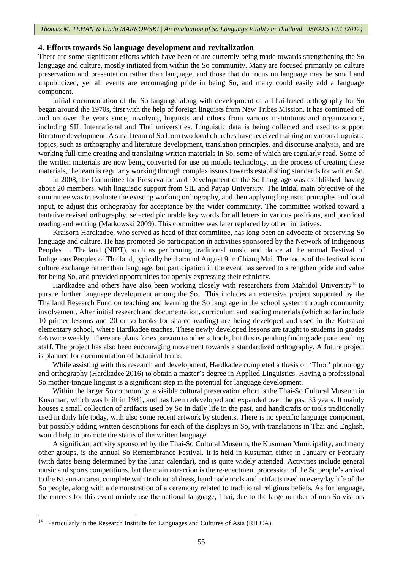#### **4. Efforts towards So language development and revitalization**

There are some significant efforts which have been or are currently being made towards strengthening the So language and culture, mostly initiated from within the So community. Many are focused primarily on culture preservation and presentation rather than language, and those that do focus on language may be small and unpublicized, yet all events are encouraging pride in being So, and many could easily add a language component.

Initial documentation of the So language along with development of a Thai-based orthography for So began around the 1970s, first with the help of foreign linguists from New Tribes Mission. It has continued off and on over the years since, involving linguists and others from various institutions and organizations, including SIL International and Thai universities. Linguistic data is being collected and used to support literature development. A small team of So from two local churches have received training on various linguistic topics, such as orthography and literature development, translation principles, and discourse analysis, and are working full-time creating and translating written materials in So, some of which are regularly read. Some of the written materials are now being converted for use on mobile technology. In the process of creating these materials, the team is regularly working through complex issues towards establishing standards for written So.

In 2008, the Committee for Preservation and Development of the So Language was established, having about 20 members, with linguistic support from SIL and Payap University. The initial main objective of the committee was to evaluate the existing working orthography, and then applying linguistic principles and local input, to adjust this orthography for acceptance by the wider community. The committee worked toward a tentative revised orthography, selected picturable key words for all letters in various positions, and practiced reading and writing (Markowski 2009). This committee was later replaced by other initiatives.

Kraisorn Hardkadee, who served as head of that committee, has long been an advocate of preserving So language and culture. He has promoted So participation in activities sponsored by the Network of Indigenous Peoples in Thailand (NIPT), such as performing traditional music and dance at the annual Festival of Indigenous Peoples of Thailand, typically held around August 9 in Chiang Mai. The focus of the festival is on culture exchange rather than language, but participation in the event has served to strengthen pride and value for being So, and provided opportunities for openly expressing their ethnicity.

Hardkadee and others have also been working closely with researchers from Mahidol University<sup>[14](#page-10-0)</sup> to pursue further language development among the So. This includes an extensive project supported by the Thailand Research Fund on teaching and learning the So language in the school system through community involvement. After initial research and documentation, curriculum and reading materials (which so far include 10 primer lessons and 20 or so books for shared reading) are being developed and used in the Kutsakoi elementary school, where Hardkadee teaches. These newly developed lessons are taught to students in grades 4-6 twice weekly. There are plans for expansion to other schools, but this is pending finding adequate teaching staff. The project has also been encouraging movement towards a standardized orthography. A future project is planned for documentation of botanical terms.

While assisting with this research and development, Hardkadee completed a thesis on 'Thrɔ:' phonology and orthography (Hardkadee 2016) to obtain a master's degree in Applied Linguistics. Having a professional So mother-tongue linguist is a significant step in the potential for language development.

Within the larger So community, a visible cultural preservation effort is the Thai-So Cultural Museum in Kusuman, which was built in 1981, and has been redeveloped and expanded over the past 35 years. It mainly houses a small collection of artifacts used by So in daily life in the past, and handicrafts or tools traditionally used in daily life today, with also some recent artwork by students. There is no specific language component, but possibly adding written descriptions for each of the displays in So, with translations in Thai and English, would help to promote the status of the written language.

A significant activity sponsored by the Thai-So Cultural Museum, the Kusuman Municipality, and many other groups, is the annual So Remembrance Festival. It is held in Kusuman either in January or February (with dates being determined by the lunar calendar), and is quite widely attended. Activities include general music and sports competitions, but the main attraction is the re-enactment procession of the So people's arrival to the Kusuman area, complete with traditional dress, handmade tools and artifacts used in everyday life of the So people, along with a demonstration of a ceremony related to traditional religious beliefs. As for language, the emcees for this event mainly use the national language, Thai, due to the large number of non-So visitors

<span id="page-10-0"></span><sup>&</sup>lt;sup>14</sup> Particularly in the Research Institute for Languages and Cultures of Asia (RILCA).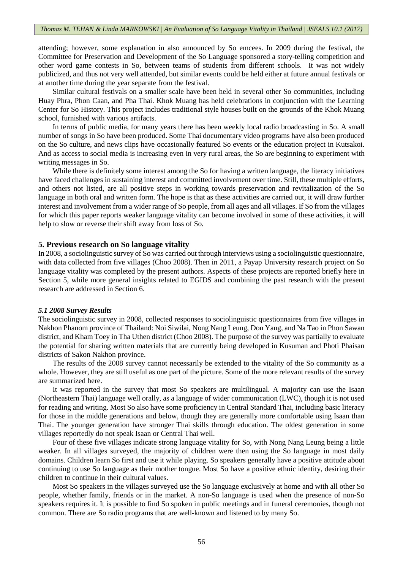attending; however, some explanation in also announced by So emcees. In 2009 during the festival, the Committee for Preservation and Development of the So Language sponsored a story-telling competition and other word game contests in So, between teams of students from different schools. It was not widely publicized, and thus not very well attended, but similar events could be held either at future annual festivals or at another time during the year separate from the festival.

Similar cultural festivals on a smaller scale have been held in several other So communities, including Huay Phra, Phon Caan, and Pha Thai. Khok Muang has held celebrations in conjunction with the Learning Center for So History. This project includes traditional style houses built on the grounds of the Khok Muang school, furnished with various artifacts.

In terms of public media, for many years there has been weekly local radio broadcasting in So. A small number of songs in So have been produced. Some Thai documentary video programs have also been produced on the So culture, and news clips have occasionally featured So events or the education project in Kutsakoi. And as access to social media is increasing even in very rural areas, the So are beginning to experiment with writing messages in So.

While there is definitely some interest among the So for having a written language, the literacy initiatives have faced challenges in sustaining interest and committed involvement over time. Still, these multiple efforts, and others not listed, are all positive steps in working towards preservation and revitalization of the So language in both oral and written form. The hope is that as these activities are carried out, it will draw further interest and involvement from a wider range of So people, from all ages and all villages. If So from the villages for which this paper reports weaker language vitality can become involved in some of these activities, it will help to slow or reverse their shift away from loss of So.

#### **5. Previous research on So language vitality**

In 2008, a sociolinguistic survey of So was carried out through interviews using a sociolinguistic questionnaire, with data collected from five villages (Choo 2008). Then in 2011, a Payap University research project on So language vitality was completed by the present authors. Aspects of these projects are reported briefly here in Section 5, while more general insights related to EGIDS and combining the past research with the present research are addressed in Section 6.

#### *5.1 2008 Survey Results*

The sociolinguistic survey in 2008, collected responses to sociolinguistic questionnaires from five villages in Nakhon Phanom province of Thailand: Noi Siwilai, Nong Nang Leung, Don Yang, and Na Tao in Phon Sawan district, and Kham Toey in Tha Uthen district (Choo 2008). The purpose of the survey was partially to evaluate the potential for sharing written materials that are currently being developed in Kusuman and Photi Phaisan districts of Sakon Nakhon province.

The results of the 2008 survey cannot necessarily be extended to the vitality of the So community as a whole. However, they are still useful as one part of the picture. Some of the more relevant results of the survey are summarized here.

It was reported in the survey that most So speakers are multilingual. A majority can use the Isaan (Northeastern Thai) language well orally, as a language of wider communication (LWC), though it is not used for reading and writing. Most So also have some proficiency in Central Standard Thai, including basic literacy for those in the middle generations and below, though they are generally more comfortable using Isaan than Thai. The younger generation have stronger Thai skills through education. The oldest generation in some villages reportedly do not speak Isaan or Central Thai well.

Four of these five villages indicate strong language vitality for So, with Nong Nang Leung being a little weaker. In all villages surveyed, the majority of children were then using the So language in most daily domains. Children learn So first and use it while playing. So speakers generally have a positive attitude about continuing to use So language as their mother tongue. Most So have a positive ethnic identity, desiring their children to continue in their cultural values.

Most So speakers in the villages surveyed use the So language exclusively at home and with all other So people, whether family, friends or in the market. A non-So language is used when the presence of non-So speakers requires it. It is possible to find So spoken in public meetings and in funeral ceremonies, though not common. There are So radio programs that are well-known and listened to by many So.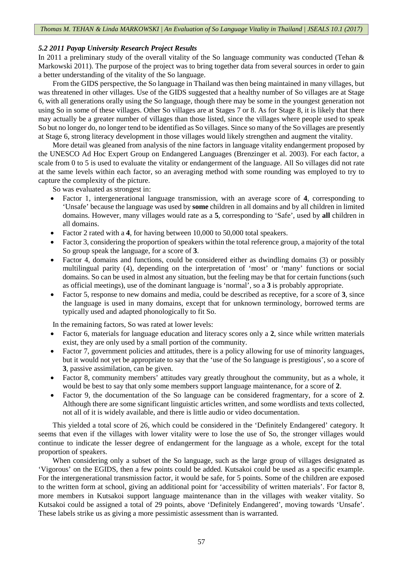# *5.2 2011 Payap University Research Project Results*

In 2011 a preliminary study of the overall vitality of the So language community was conducted (Tehan & Markowski 2011). The purpose of the project was to bring together data from several sources in order to gain a better understanding of the vitality of the So language.

From the GIDS perspective, the So language in Thailand was then being maintained in many villages, but was threatened in other villages. Use of the GIDS suggested that a healthy number of So villages are at Stage 6, with all generations orally using the So language, though there may be some in the youngest generation not using So in some of these villages. Other So villages are at Stages 7 or 8. As for Stage 8, it is likely that there may actually be a greater number of villages than those listed, since the villages where people used to speak So but no longer do, no longer tend to be identified as So villages. Since so many of the So villages are presently at Stage 6, strong literacy development in those villages would likely strengthen and augment the vitality.

More detail was gleaned from analysis of the nine factors in language vitality endangerment proposed by the UNESCO Ad Hoc Expert Group on Endangered Languages (Brenzinger et al. 2003). For each factor, a scale from 0 to 5 is used to evaluate the vitality or endangerment of the language. All So villages did not rate at the same levels within each factor, so an averaging method with some rounding was employed to try to capture the complexity of the picture.

So was evaluated as strongest in:

- Factor 1, intergenerational language transmission, with an average score of **4**, corresponding to 'Unsafe' because the language was used by **some** children in all domains and by all children in limited domains. However, many villages would rate as a **5**, corresponding to 'Safe', used by **all** children in all domains.
- Factor 2 rated with a **4**, for having between 10,000 to 50,000 total speakers.
- Factor 3, considering the proportion of speakers within the total reference group, a majority of the total So group speak the language, for a score of **3**.
- Factor 4, domains and functions, could be considered either as dwindling domains (3) or possibly multilingual parity (4), depending on the interpretation of 'most' or 'many' functions or social domains. So can be used in almost any situation, but the feeling may be that for certain functions (such as official meetings), use of the dominant language is 'normal', so a **3** is probably appropriate.
- Factor 5, response to new domains and media, could be described as receptive, for a score of **3**, since the language is used in many domains, except that for unknown terminology, borrowed terms are typically used and adapted phonologically to fit So.

In the remaining factors, So was rated at lower levels:

- Factor 6, materials for language education and literacy scores only a **2**, since while written materials exist, they are only used by a small portion of the community.
- Factor 7, government policies and attitudes, there is a policy allowing for use of minority languages, but it would not yet be appropriate to say that the 'use of the So language is prestigious', so a score of **3**, passive assimilation, can be given.
- Factor 8, community members' attitudes vary greatly throughout the community, but as a whole, it would be best to say that only some members support language maintenance, for a score of **2**.
- Factor 9, the documentation of the So language can be considered fragmentary, for a score of **2**. Although there are some significant linguistic articles written, and some wordlists and texts collected, not all of it is widely available, and there is little audio or video documentation.

This yielded a total score of 26, which could be considered in the 'Definitely Endangered' category. It seems that even if the villages with lower vitality were to lose the use of So, the stronger villages would continue to indicate the lesser degree of endangerment for the language as a whole, except for the total proportion of speakers.

When considering only a subset of the So language, such as the large group of villages designated as 'Vigorous' on the EGIDS, then a few points could be added. Kutsakoi could be used as a specific example. For the intergenerational transmission factor, it would be safe, for 5 points. Some of the children are exposed to the written form at school, giving an additional point for 'accessibility of written materials'. For factor 8, more members in Kutsakoi support language maintenance than in the villages with weaker vitality. So Kutsakoi could be assigned a total of 29 points, above 'Definitely Endangered', moving towards 'Unsafe'. These labels strike us as giving a more pessimistic assessment than is warranted.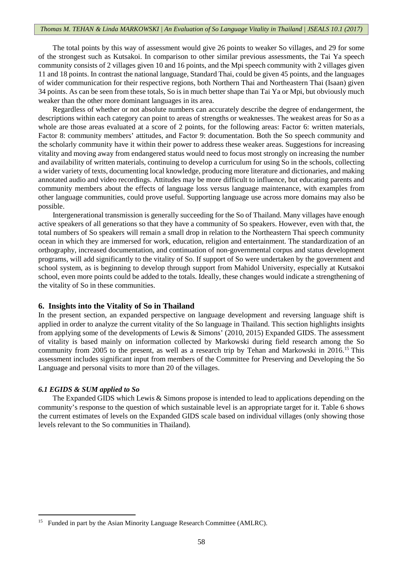#### *Thomas M. TEHAN & Linda MARKOWSKI | An Evaluation of So Language Vitality in Thailand | JSEALS 10.1 (2017)*

The total points by this way of assessment would give 26 points to weaker So villages, and 29 for some of the strongest such as Kutsakoi. In comparison to other similar previous assessments, the Tai Ya speech community consists of 2 villages given 10 and 16 points, and the Mpi speech community with 2 villages given 11 and 18 points. In contrast the national language, Standard Thai, could be given 45 points, and the languages of wider communication for their respective regions, both Northern Thai and Northeastern Thai (Isaan) given 34 points. As can be seen from these totals, So is in much better shape than Tai Ya or Mpi, but obviously much weaker than the other more dominant languages in its area.

Regardless of whether or not absolute numbers can accurately describe the degree of endangerment, the descriptions within each category can point to areas of strengths or weaknesses. The weakest areas for So as a whole are those areas evaluated at a score of 2 points, for the following areas: Factor 6: written materials, Factor 8: community members' attitudes, and Factor 9: documentation. Both the So speech community and the scholarly community have it within their power to address these weaker areas. Suggestions for increasing vitality and moving away from endangered status would need to focus most strongly on increasing the number and availability of written materials, continuing to develop a curriculum for using So in the schools, collecting a wider variety of texts, documenting local knowledge, producing more literature and dictionaries, and making annotated audio and video recordings. Attitudes may be more difficult to influence, but educating parents and community members about the effects of language loss versus language maintenance, with examples from other language communities, could prove useful. Supporting language use across more domains may also be possible.

Intergenerational transmission is generally succeeding for the So of Thailand. Many villages have enough active speakers of all generations so that they have a community of So speakers. However, even with that, the total numbers of So speakers will remain a small drop in relation to the Northeastern Thai speech community ocean in which they are immersed for work, education, religion and entertainment. The standardization of an orthography, increased documentation, and continuation of non-governmental corpus and status development programs, will add significantly to the vitality of So. If support of So were undertaken by the government and school system, as is beginning to develop through support from Mahidol University, especially at Kutsakoi school, even more points could be added to the totals. Ideally, these changes would indicate a strengthening of the vitality of So in these communities.

## **6. Insights into the Vitality of So in Thailand**

In the present section, an expanded perspective on language development and reversing language shift is applied in order to analyze the current vitality of the So language in Thailand. This section highlights insights from applying some of the developments of Lewis & Simons' (2010, 2015) Expanded GIDS. The assessment of vitality is based mainly on information collected by Markowski during field research among the So community from 2005 to the present, as well as a research trip by Tehan and Markowski in 2016.[15](#page-13-0) This assessment includes significant input from members of the Committee for Preserving and Developing the So Language and personal visits to more than 20 of the villages.

#### *6.1 EGIDS & SUM applied to So*

**.** 

The Expanded GIDS which Lewis & Simons propose is intended to lead to applications depending on the community's response to the question of which sustainable level is an appropriate target for it. Table 6 shows the current estimates of levels on the Expanded GIDS scale based on individual villages (only showing those levels relevant to the So communities in Thailand).

<span id="page-13-0"></span><sup>&</sup>lt;sup>15</sup> Funded in part by the Asian Minority Language Research Committee (AMLRC).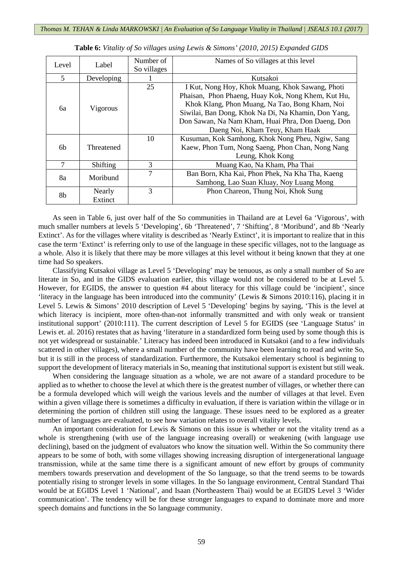| Level | Label      | Number of   | Names of So villages at this level                  |
|-------|------------|-------------|-----------------------------------------------------|
|       |            | So villages |                                                     |
| 5     | Developing | Kutsakoi    |                                                     |
|       |            | 25          | I Kut, Nong Hoy, Khok Muang, Khok Sawang, Photi     |
|       |            |             | Phaisan, Phon Phaeng, Huay Kok, Nong Khem, Kut Hu,  |
| 6а    |            |             | Khok Klang, Phon Muang, Na Tao, Bong Kham, Noi      |
|       | Vigorous   |             | Siwilai, Ban Dong, Khok Na Di, Na Khamin, Don Yang, |
|       |            |             | Don Sawan, Na Nam Kham, Huai Phra, Don Daeng, Don   |
|       |            |             | Daeng Noi, Kham Teuy, Kham Haak                     |
|       |            | 10          | Kusuman, Kok Samhong, Khok Nong Pheu, Ngiw, Sang    |
| 6b    | Threatened |             | Kaew, Phon Tum, Nong Saeng, Phon Chan, Nong Nang    |
|       |            |             | Leung, Khok Kong                                    |
| 7     | Shifting   | 3           | Muang Kao, Na Kham, Pha Thai                        |
|       | Moribund   | 7           | Ban Born, Kha Kai, Phon Phek, Na Kha Tha, Kaeng     |
| 8a    |            |             | Samhong, Lao Suan Kluay, Noy Luang Mong             |
| 8b    | Nearly     | 3           | Phon Chareon, Thung Noi, Khok Sung                  |
|       | Extinct    |             |                                                     |

|  |  |  |  |  |  |  |  |  |  | <b>Table 6:</b> Vitality of So villages using Lewis & Simons' (2010, 2015) Expanded GIDS |  |
|--|--|--|--|--|--|--|--|--|--|------------------------------------------------------------------------------------------|--|
|--|--|--|--|--|--|--|--|--|--|------------------------------------------------------------------------------------------|--|

As seen in Table 6, just over half of the So communities in Thailand are at Level 6a 'Vigorous', with much smaller numbers at levels 5 'Developing', 6b 'Threatened', 7 'Shifting', 8 'Moribund', and 8b 'Nearly Extinct'. As for the villages where vitality is described as 'Nearly Extinct', it is important to realize that in this case the term 'Extinct' is referring only to use of the language in these specific villages, not to the language as a whole. Also it is likely that there may be more villages at this level without it being known that they at one time had So speakers.

Classifying Kutsakoi village as Level 5 'Developing' may be tenuous, as only a small number of So are literate in So, and in the GIDS evaluation earlier, this village would not be considered to be at Level 5. However, for EGIDS, the answer to question #4 about literacy for this village could be 'incipient', since 'literacy in the language has been introduced into the community' (Lewis & Simons 2010:116), placing it in Level 5. Lewis & Simons' 2010 description of Level 5 'Developing' begins by saying, 'This is the level at which literacy is incipient, more often-than-not informally transmitted and with only weak or transient institutional support' (2010:111). The current description of Level 5 for EGIDS (see 'Language Status' in Lewis et. al. 2016) restates that as having 'literature in a standardized form being used by some though this is not yet widespread or sustainable.' Literacy has indeed been introduced in Kutsakoi (and to a few individuals scattered in other villages), where a small number of the community have been learning to read and write So, but it is still in the process of standardization. Furthermore, the Kutsakoi elementary school is beginning to support the development of literacy materials in So, meaning that institutional support is existent but still weak.

When considering the language situation as a whole, we are not aware of a standard procedure to be applied as to whether to choose the level at which there is the greatest number of villages, or whether there can be a formula developed which will weigh the various levels and the number of villages at that level. Even within a given village there is sometimes a difficulty in evaluation, if there is variation within the village or in determining the portion of children still using the language. These issues need to be explored as a greater number of languages are evaluated, to see how variation relates to overall vitality levels.

An important consideration for Lewis & Simons on this issue is whether or not the vitality trend as a whole is strengthening (with use of the language increasing overall) or weakening (with language use declining), based on the judgment of evaluators who know the situation well. Within the So community there appears to be some of both, with some villages showing increasing disruption of intergenerational language transmission, while at the same time there is a significant amount of new effort by groups of community members towards preservation and development of the So language, so that the trend seems to be towards potentially rising to stronger levels in some villages. In the So language environment, Central Standard Thai would be at EGIDS Level 1 'National', and Isaan (Northeastern Thai) would be at EGIDS Level 3 'Wider communication'. The tendency will be for these stronger languages to expand to dominate more and more speech domains and functions in the So language community.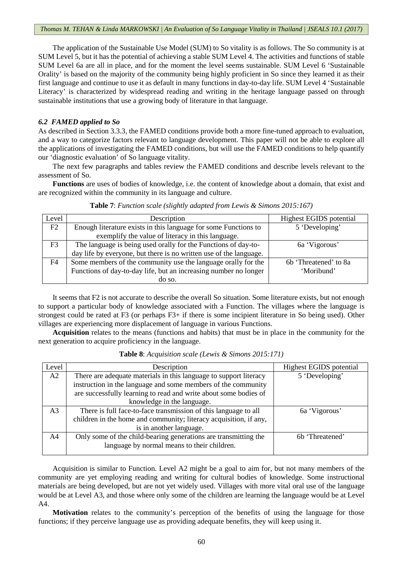The application of the Sustainable Use Model (SUM) to So vitality is as follows. The So community is at SUM Level 5, but it has the potential of achieving a stable SUM Level 4. The activities and functions of stable SUM Level 6a are all in place, and for the moment the level seems sustainable. SUM Level 6 'Sustainable Orality' is based on the majority of the community being highly proficient in So since they learned it as their first language and continue to use it as default in many functions in day-to-day life. SUM Level 4 'Sustainable Literacy' is characterized by widespread reading and writing in the heritage language passed on through sustainable institutions that use a growing body of literature in that language.

# *6.2 FAMED applied to So*

As described in Section 3.3.3, the FAMED conditions provide both a more fine-tuned approach to evaluation, and a way to categorize factors relevant to language development. This paper will not be able to explore all the applications of investigating the FAMED conditions, but will use the FAMED conditions to help quantify our 'diagnostic evaluation' of So language vitality.

The next few paragraphs and tables review the FAMED conditions and describe levels relevant to the assessment of So.

**Functions** are uses of bodies of knowledge, i.e. the content of knowledge about a domain, that exist and are recognized within the community in its language and culture.

| Level          | Description                                                        | Highest EGIDS potential           |
|----------------|--------------------------------------------------------------------|-----------------------------------|
| F2             | Enough literature exists in this language for some Functions to    | 5 'Developing'                    |
|                | exemplify the value of literacy in this language.                  |                                   |
| F <sub>3</sub> | The language is being used orally for the Functions of day-to-     | 6a 'Vigorous'                     |
|                | day life by everyone, but there is no written use of the language. |                                   |
| F4             | Some members of the community use the language orally for the      | 6 <sub>b</sub> 'Threatened' to 8a |
|                | Functions of day-to-day life, but an increasing number no longer   | 'Moribund'                        |
|                | do so.                                                             |                                   |

**Table 7**: *Function scale (slightly adapted from Lewis & Simons 2015:167)*

It seems that F2 is not accurate to describe the overall So situation. Some literature exists, but not enough to support a particular body of knowledge associated with a Function. The villages where the language is strongest could be rated at F3 (or perhaps F3+ if there is some incipient literature in So being used). Other villages are experiencing more displacement of language in various Functions.

**Acquisition** relates to the means (functions and habits) that must be in place in the community for the next generation to acquire proficiency in the language.

| Level          | Description                                                       | Highest EGIDS potential |
|----------------|-------------------------------------------------------------------|-------------------------|
| A2             | There are adequate materials in this language to support literacy | 5 'Developing'          |
|                | instruction in the language and some members of the community     |                         |
|                | are successfully learning to read and write about some bodies of  |                         |
|                | knowledge in the language.                                        |                         |
| A <sub>3</sub> | There is full face-to-face transmission of this language to all   | 6a 'Vigorous'           |
|                | children in the home and community; literacy acquisition, if any, |                         |
|                | is in another language.                                           |                         |
| A <sup>4</sup> | Only some of the child-bearing generations are transmitting the   | 6b 'Threatened'         |
|                | language by normal means to their children.                       |                         |
|                |                                                                   |                         |

**Table 8**: *Acquisition scale (Lewis & Simons 2015:171)*

Acquisition is similar to Function. Level A2 might be a goal to aim for, but not many members of the community are yet employing reading and writing for cultural bodies of knowledge. Some instructional materials are being developed, but are not yet widely used. Villages with more vital oral use of the language would be at Level A3, and those where only some of the children are learning the language would be at Level A4.

**Motivation** relates to the community's perception of the benefits of using the language for those functions; if they perceive language use as providing adequate benefits, they will keep using it.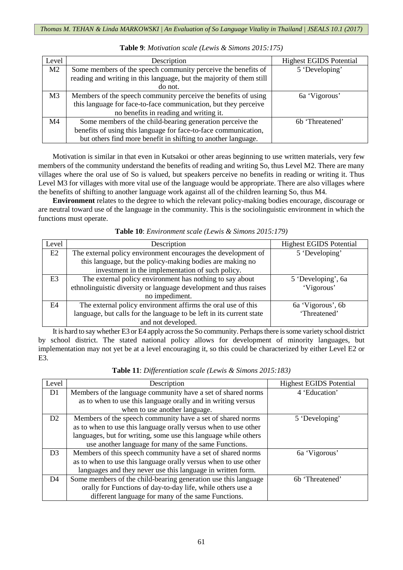| Level          | Description                                                          | <b>Highest EGIDS Potential</b> |
|----------------|----------------------------------------------------------------------|--------------------------------|
| M <sub>2</sub> | Some members of the speech community perceive the benefits of        | 5 'Developing'                 |
|                | reading and writing in this language, but the majority of them still |                                |
|                | do not.                                                              |                                |
| M <sub>3</sub> | Members of the speech community perceive the benefits of using       | 6a 'Vigorous'                  |
|                | this language for face-to-face communication, but they perceive      |                                |
|                | no benefits in reading and writing it.                               |                                |
| M <sub>4</sub> | Some members of the child-bearing generation perceive the            | 6 <sub>b</sub> 'Threatened'    |
|                | benefits of using this language for face-to-face communication,      |                                |
|                | but others find more benefit in shifting to another language.        |                                |

**Table 9**: *Motivation scale (Lewis & Simons 2015:175)*

Motivation is similar in that even in Kutsakoi or other areas beginning to use written materials, very few members of the community understand the benefits of reading and writing So, thus Level M2. There are many villages where the oral use of So is valued, but speakers perceive no benefits in reading or writing it. Thus Level M3 for villages with more vital use of the language would be appropriate. There are also villages where the benefits of shifting to another language work against all of the children learning So, thus M4.

**Environment** relates to the degree to which the relevant policy-making bodies encourage, discourage or are neutral toward use of the language in the community. This is the sociolinguistic environment in which the functions must operate.

| Level          | Description                                                          | <b>Highest EGIDS Potential</b> |  |
|----------------|----------------------------------------------------------------------|--------------------------------|--|
| E2             | The external policy environment encourages the development of        | 5 'Developing'                 |  |
|                | this language, but the policy-making bodies are making no            |                                |  |
|                | investment in the implementation of such policy.                     |                                |  |
| E <sub>3</sub> | The external policy environment has nothing to say about             | 5 'Developing', 6a             |  |
|                | ethnolinguistic diversity or language development and thus raises    | 'Vigorous'                     |  |
|                | no impediment.                                                       |                                |  |
| E4             | The external policy environment affirms the oral use of this         | 6a 'Vigorous', 6b              |  |
|                | language, but calls for the language to be left in its current state | 'Threatened'                   |  |
|                | and not developed.                                                   |                                |  |

**Table 10**: *Environment scale (Lewis & Simons 2015:179)*

It is hard to say whether E3 or E4 apply across the So community. Perhaps there is some variety school district by school district. The stated national policy allows for development of minority languages, but implementation may not yet be at a level encouraging it, so this could be characterized by either Level E2 or E3.

| Table 11: Differentiation scale (Lewis & Simons 2015:183) |  |
|-----------------------------------------------------------|--|
|-----------------------------------------------------------|--|

| Level          | Description                                                     | <b>Highest EGIDS Potential</b> |  |
|----------------|-----------------------------------------------------------------|--------------------------------|--|
| D1             | Members of the language community have a set of shared norms    | 4 'Education'                  |  |
|                | as to when to use this language orally and in writing versus    |                                |  |
|                | when to use another language.                                   |                                |  |
| D2             | Members of the speech community have a set of shared norms      | 5 'Developing'                 |  |
|                | as to when to use this language orally versus when to use other |                                |  |
|                | languages, but for writing, some use this language while others |                                |  |
|                | use another language for many of the same Functions.            |                                |  |
| D <sub>3</sub> | Members of this speech community have a set of shared norms     | 6a 'Vigorous'                  |  |
|                | as to when to use this language orally versus when to use other |                                |  |
|                | languages and they never use this language in written form.     |                                |  |
| D <sub>4</sub> | Some members of the child-bearing generation use this language  | 6 <sub>b</sub> 'Threatened'    |  |
|                | orally for Functions of day-to-day life, while others use a     |                                |  |
|                | different language for many of the same Functions.              |                                |  |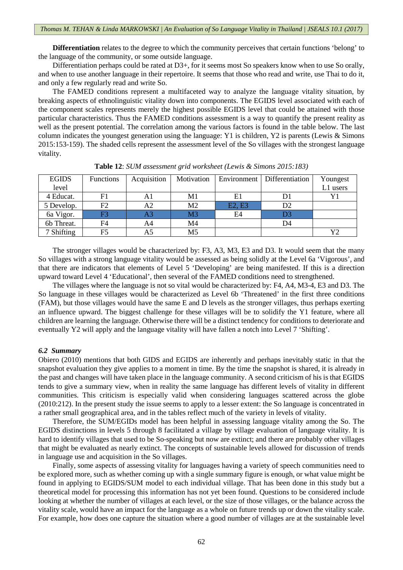**Differentiation** relates to the degree to which the community perceives that certain functions 'belong' to the language of the community, or some outside language.

Differentiation perhaps could be rated at D3+, for it seems most So speakers know when to use So orally, and when to use another language in their repertoire. It seems that those who read and write, use Thai to do it, and only a few regularly read and write So.

The FAMED conditions represent a multifaceted way to analyze the language vitality situation, by breaking aspects of ethnolinguistic vitality down into components. The EGIDS level associated with each of the component scales represents merely the highest possible EGIDS level that could be attained with those particular characteristics. Thus the FAMED conditions assessment is a way to quantify the present reality as well as the present potential. The correlation among the various factors is found in the table below. The last column indicates the youngest generation using the language: Y1 is children, Y2 is parents (Lewis & Simons 2015:153-159). The shaded cells represent the assessment level of the So villages with the strongest language vitality.

| <b>EGIDS</b> | <b>Functions</b> | Acquisition | Motivation     |        | Environment   Differentiation | Youngest |
|--------------|------------------|-------------|----------------|--------|-------------------------------|----------|
| level        |                  |             |                |        |                               | L1 users |
| 4 Educat.    | F1               | A1          | M1             | E1     | D1                            | Y1       |
| 5 Develop.   | F2               | A2          | M <sub>2</sub> | E2, E3 | D2                            |          |
| 6a Vigor.    | F3               | A3          | M <sub>3</sub> | E4     | D3                            |          |
| 6b Threat.   | F4               | A4          | M <sub>4</sub> |        | D4                            |          |
| 7 Shifting   | F5               | A5          | M <sub>5</sub> |        |                               |          |

**Table 12**: *SUM assessment grid worksheet (Lewis & Simons 2015:183)*

The stronger villages would be characterized by: F3, A3, M3, E3 and D3. It would seem that the many So villages with a strong language vitality would be assessed as being solidly at the Level 6a 'Vigorous', and that there are indicators that elements of Level 5 'Developing' are being manifested. If this is a direction upward toward Level 4 'Educational', then several of the FAMED conditions need to strengthened.

The villages where the language is not so vital would be characterized by: F4, A4, M3-4, E3 and D3. The So language in these villages would be characterized as Level 6b 'Threatened' in the first three conditions (FAM), but those villages would have the same E and D levels as the stronger villages, thus perhaps exerting an influence upward. The biggest challenge for these villages will be to solidify the Y1 feature, where all children are learning the language. Otherwise there will be a distinct tendency for conditions to deteriorate and eventually Y2 will apply and the language vitality will have fallen a notch into Level 7 'Shifting'.

#### *6.2 Summary*

Obiero (2010) mentions that both GIDS and EGIDS are inherently and perhaps inevitably static in that the snapshot evaluation they give applies to a moment in time. By the time the snapshot is shared, it is already in the past and changes will have taken place in the language community. A second criticism of his is that EGIDS tends to give a summary view, when in reality the same language has different levels of vitality in different communities. This criticism is especially valid when considering languages scattered across the globe (2010:212). In the present study the issue seems to apply to a lesser extent: the So language is concentrated in a rather small geographical area, and in the tables reflect much of the variety in levels of vitality.

Therefore, the SUM/EGIDs model has been helpful in assessing language vitality among the So. The EGIDS distinctions in levels 5 through 8 facilitated a village by village evaluation of language vitality. It is hard to identify villages that used to be So-speaking but now are extinct; and there are probably other villages that might be evaluated as nearly extinct. The concepts of sustainable levels allowed for discussion of trends in language use and acquisition in the So villages.

Finally, some aspects of assessing vitality for languages having a variety of speech communities need to be explored more, such as whether coming up with a single summary figure is enough, or what value might be found in applying to EGIDS/SUM model to each individual village. That has been done in this study but a theoretical model for processing this information has not yet been found. Questions to be considered include looking at whether the number of villages at each level, or the size of those villages, or the balance across the vitality scale, would have an impact for the language as a whole on future trends up or down the vitality scale. For example, how does one capture the situation where a good number of villages are at the sustainable level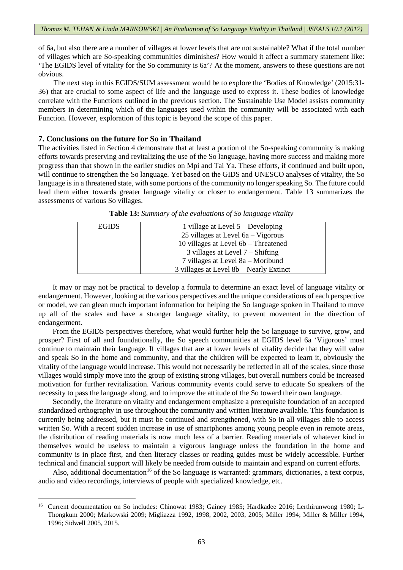of 6a, but also there are a number of villages at lower levels that are not sustainable? What if the total number of villages which are So-speaking communities diminishes? How would it affect a summary statement like: 'The EGIDS level of vitality for the So community is 6a'? At the moment, answers to these questions are not obvious.

The next step in this EGIDS/SUM assessment would be to explore the 'Bodies of Knowledge' (2015:31- 36) that are crucial to some aspect of life and the language used to express it. These bodies of knowledge correlate with the Functions outlined in the previous section. The Sustainable Use Model assists community members in determining which of the languages used within the community will be associated with each Function. However, exploration of this topic is beyond the scope of this paper.

# **7. Conclusions on the future for So in Thailand**

**.** 

The activities listed in Section 4 demonstrate that at least a portion of the So-speaking community is making efforts towards preserving and revitalizing the use of the So language, having more success and making more progress than that shown in the earlier studies on Mpi and Tai Ya. These efforts, if continued and built upon, will continue to strengthen the So language. Yet based on the GIDS and UNESCO analyses of vitality, the So language is in a threatened state, with some portions of the community no longer speaking So. The future could lead them either towards greater language vitality or closer to endangerment. Table 13 summarizes the assessments of various So villages.

| <b>EGIDS</b> | 1 village at Level $5 -$ Developing     |
|--------------|-----------------------------------------|
|              | 25 villages at Level $6a - Vigorous$    |
|              | 10 villages at Level 6b – Threatened    |
|              | $3$ villages at Level $7 -$ Shifting    |
|              | 7 villages at Level 8a – Moribund       |
|              | 3 villages at Level 8b – Nearly Extinct |

**Table 13:** *Summary of the evaluations of So language vitality*

It may or may not be practical to develop a formula to determine an exact level of language vitality or endangerment. However, looking at the various perspectives and the unique considerations of each perspective or model, we can glean much important information for helping the So language spoken in Thailand to move up all of the scales and have a stronger language vitality, to prevent movement in the direction of endangerment.

From the EGIDS perspectives therefore, what would further help the So language to survive, grow, and prosper? First of all and foundationally, the So speech communities at EGIDS level 6a 'Vigorous' must continue to maintain their language. If villages that are at lower levels of vitality decide that they will value and speak So in the home and community, and that the children will be expected to learn it, obviously the vitality of the language would increase. This would not necessarily be reflected in all of the scales, since those villages would simply move into the group of existing strong villages, but overall numbers could be increased motivation for further revitalization. Various community events could serve to educate So speakers of the necessity to pass the language along, and to improve the attitude of the So toward their own language.

Secondly, the literature on vitality and endangerment emphasize a prerequisite foundation of an accepted standardized orthography in use throughout the community and written literature available. This foundation is currently being addressed, but it must be continued and strengthened, with So in all villages able to access written So. With a recent sudden increase in use of smartphones among young people even in remote areas, the distribution of reading materials is now much less of a barrier. Reading materials of whatever kind in themselves would be useless to maintain a vigorous language unless the foundation in the home and community is in place first, and then literacy classes or reading guides must be widely accessible. Further technical and financial support will likely be needed from outside to maintain and expand on current efforts.

Also, additional documentation<sup>[16](#page-18-0)</sup> of the So language is warranted: grammars, dictionaries, a text corpus, audio and video recordings, interviews of people with specialized knowledge, etc.

<span id="page-18-0"></span><sup>&</sup>lt;sup>16</sup> Current documentation on So includes: Chinowat 1983; Gainey 1985; Hardkadee 2016; Lerthirunwong 1980; L-Thongkum 2000; Markowski 2009; Migliazza 1992, 1998, 2002, 2003, 2005; Miller 1994; Miller & Miller 1994, 1996; Sidwell 2005, 2015.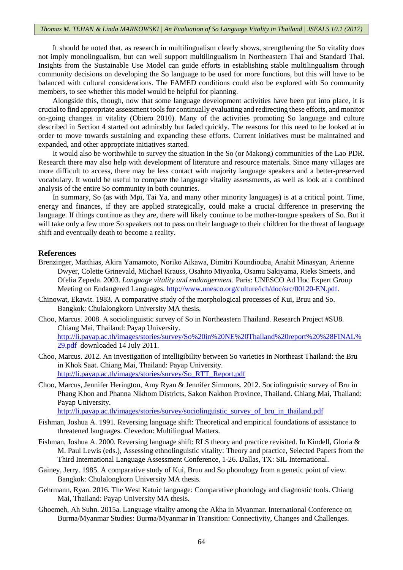It should be noted that, as research in multilingualism clearly shows, strengthening the So vitality does not imply monolingualism, but can well support multilingualism in Northeastern Thai and Standard Thai. Insights from the Sustainable Use Model can guide efforts in establishing stable multilingualism through community decisions on developing the So language to be used for more functions, but this will have to be balanced with cultural considerations. The FAMED conditions could also be explored with So community members, to see whether this model would be helpful for planning.

Alongside this, though, now that some language development activities have been put into place, it is crucial to find appropriate assessment tools for continually evaluating and redirecting these efforts, and monitor on-going changes in vitality (Obiero 2010). Many of the activities promoting So language and culture described in Section 4 started out admirably but faded quickly. The reasons for this need to be looked at in order to move towards sustaining and expanding these efforts. Current initiatives must be maintained and expanded, and other appropriate initiatives started.

It would also be worthwhile to survey the situation in the So (or Makong) communities of the Lao PDR. Research there may also help with development of literature and resource materials. Since many villages are more difficult to access, there may be less contact with majority language speakers and a better-preserved vocabulary. It would be useful to compare the language vitality assessments, as well as look at a combined analysis of the entire So community in both countries.

In summary, So (as with Mpi, Tai Ya, and many other minority languages) is at a critical point. Time, energy and finances, if they are applied strategically, could make a crucial difference in preserving the language. If things continue as they are, there will likely continue to be mother-tongue speakers of So. But it will take only a few more So speakers not to pass on their language to their children for the threat of language shift and eventually death to become a reality.

## **References**

- Brenzinger, Matthias, Akira Yamamoto, Noriko Aikawa, Dimitri Koundiouba, Anahit Minasyan, Arienne Dwyer, Colette Grinevald, Michael Krauss, Osahito Miyaoka, Osamu Sakiyama, Rieks Smeets, and Ofelia Zepeda. 2003. *Language vitality and endangerment*. Paris: UNESCO Ad Hoc Expert Group Meeting on Endangered Languages. [http://www.unesco.org/culture/ich/doc/src/00120-EN.pdf.](http://www.unesco.org/culture/ich/doc/src/00120-EN.pdf)
- Chinowat, Ekawit. 1983. A comparative study of the morphological processes of Kui, Bruu and So. Bangkok: Chulalongkorn University MA thesis.
- Choo, Marcus. 2008. A sociolinguistic survey of So in Northeastern Thailand. Research Project #SU8. Chiang Mai, Thailand: Payap University. [http://li.payap.ac.th/images/stories/survey/So%20in%20NE%20Thailand%20report%20%28FINAL%](http://li.payap.ac.th/images/stories/survey/So%20in%20NE%20Thailand%20report%20%28FINAL%29.pdf) [29.pdf](http://li.payap.ac.th/images/stories/survey/So%20in%20NE%20Thailand%20report%20%28FINAL%29.pdf) downloaded 14 July 2011.
- Choo, Marcus. 2012. An investigation of intelligibility between So varieties in Northeast Thailand: the Bru in Khok Saat. Chiang Mai, Thailand: Payap University. [http://li.payap.ac.th/images/stories/survey/So\\_RTT\\_Report.pdf](http://li.payap.ac.th/images/stories/survey/So_RTT_Report.pdf)
- Choo, Marcus, Jennifer Herington, Amy Ryan & Jennifer Simmons. 2012. Sociolinguistic survey of Bru in Phang Khon and Phanna Nikhom Districts, Sakon Nakhon Province, Thailand. Chiang Mai, Thailand: Payap University.

[http://li.payap.ac.th/images/stories/survey/sociolinguistic\\_survey\\_of\\_bru\\_in\\_thailand.pdf](http://li.payap.ac.th/images/stories/survey/sociolinguistic_survey_of_bru_in_thailand.pdf)

- Fishman, Joshua A. 1991. Reversing language shift: Theoretical and empirical foundations of assistance to threatened languages. Clevedon: Multilingual Matters.
- Fishman, Joshua A. 2000. Reversing language shift: RLS theory and practice revisited. In Kindell, Gloria & M. Paul Lewis (eds.), Assessing ethnolinguistic vitality: Theory and practice, Selected Papers from the Third International Language Assessment Conference, 1-26. Dallas, TX: SIL International.
- Gainey, Jerry. 1985. A comparative study of Kui, Bruu and So phonology from a genetic point of view. Bangkok: Chulalongkorn University MA thesis.
- Gehrmann, Ryan. 2016. The West Katuic language: Comparative phonology and diagnostic tools. Chiang Mai, Thailand: Payap University MA thesis.
- Ghoemeh, Ah Suhn. 2015a. Language vitality among the Akha in Myanmar. International Conference on Burma/Myanmar Studies: Burma/Myanmar in Transition: Connectivity, Changes and Challenges.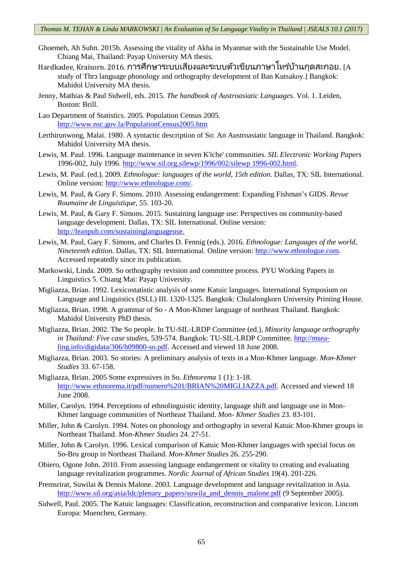- Ghoemeh, Ah Suhn. 2015b. Assessing the vitality of Akha in Myanmar with the Sustainable Use Model. Chiang Mai, Thailand: Payap University MA thesis.
- Hardkadee, Kraisorn. 2016. การศึกษาระบบเสียงและระบบตัวเขียนภาษาโทรํบ้านกุดสะกอย. [A study of Thrɔ language phonology and orthography development of Ban Kutsakoy.] Bangkok: Mahidol University MA thesis.
- Jenny, Mathias & Paul Sidwell, eds. 2015. *The handbook of Austroasiatic Languages*. Vol. 1. Leiden, Boston: Brill.
- Lao Department of Statistics. 2005. Population Census 2005. <http://www.nsc.gov.la/PopulationCensus2005.htm>
- Lerthirunwong, Malai. 1980. A syntactic description of So: An Austroasiatic language in Thailand. Bangkok: Mahidol University MA thesis.
- Lewis, M. Paul. 1996. Language maintenance in seven K'iche' communities. *SIL Electronic Working Papers* 1996-002, July 1996. [http://www.sil.org.silewp/1996/002/silewp 1996-002.html.](http://www.sil.org.silewp/1996/002/silewp%201996-002.html)
- Lewis, M. Paul. (ed.). 2009. *Ethnologue: languages of the world, 15th edition.* Dallas, TX: SIL International. Online version: [http://www.ethnologue.com/.](http://www.ethnologue.com/)
- Lewis, M. Paul, & Gary F. Simons. 2010. Assessing endangerment: Expanding Fishman's GIDS. *Revue Roumaine de Linguistique*, 55. 103-20.
- Lewis, M. Paul, & Gary F. Simons. 2015. Sustaining language use: Perspectives on community-based language development. Dallas, TX: SIL International. Online version: [http://leanpub.com/sustaininglanguageuse.](http://leanpub.com/sustaininglanguageuse)
- Lewis, M. Paul, Gary F. Simons, and Charles D. Fennig (eds.). 2016. *Ethnologue: Languages of the world, Nineteenth edition.* Dallas, TX: SIL International. Online version: [http://www.ethnologue.com.](http://www.ethnologue.com/) Accessed repeatedly since its publication.
- Markowski, Linda. 2009. So orthography revision and committee process. PYU Working Papers in Linguistics 5. Chiang Mai: Payap University.
- Migliazza, Brian. 1992. Lexicostatistic analysis of some Katuic languages. International Symposium on Language and Linguistics (ISLL) III. 1320-1325. Bangkok: Chulalongkorn University Printing House.
- Migliazza, Brian. 1998. A grammar of So A Mon-Khmer language of northeast Thailand. Bangkok: Mahidol University PhD thesis.
- Migliazza, Brian. 2002. The So people. In TU-SIL-LRDP Committee (ed.), *Minority language orthography in Thailand: Five case studies*, 539-574. Bangkok: TU-SIL-LRDP Committee. [http://msea](http://msea-ling.info/digidata/306/b09800-so.pdf)[ling.info/digidata/306/b09800-so.pdf.](http://msea-ling.info/digidata/306/b09800-so.pdf) Accessed and viewed 18 June 2008.
- Migliazza, Brian. 2003. So stories: A preliminary analysis of texts in a Mon-Khmer language. *Mon-Khmer Studies* 33. 67-158.
- Migliazza, Brian. 2005 Some expressives in So. *Ethnorema* 1 (1): 1-18. [http://www.ethnorema.it/pdf/numero%201/BRIAN%20MIGLIAZZA.pdf.](http://www.ethnorema.it/pdf/numero%201/BRIAN%20MIGLIAZZA.pdf) Accessed and viewed 18 June 2008.
- Miller, Carolyn. 1994. Perceptions of ethnolinguistic identity, language shift and language use in Mon-Khmer language communities of Northeast Thailand. *Mon- Khmer Studies* 23. 83-101.
- Miller, John & Carolyn. 1994. Notes on phonology and orthography in several Katuic Mon-Khmer groups in Northeast Thailand. *Mon-Khmer Studies* 24. 27-51.
- Miller, John & Carolyn. 1996. Lexical comparison of Katuic Mon-Khmer languages with special focus on So-Bru group in Northeast Thailand. *Mon-Khmer Studies* 26. 255-290.
- Obiero, Ogone John. 2010. From assessing language endangerment or vitality to creating and evaluating language revitalization programmes. *Nordic Journal of African Studies* 19(4). 201-226.
- Premsrirat, Suwilai & Dennis Malone. 2003. Language development and language revitalization in Asia. [http://www.sil.org/asia/ldc/plenary\\_papers/suwila\\_and\\_dennis\\_malone.pdf](http://www.sil.org/asia/ldc/plenary_papers/suwila_and_dennis_malone.pdf) (9 September 2005).
- Sidwell, Paul. 2005. The Katuic languages: Classification, reconstruction and comparative lexicon. Lincom Europa: Muenchen, Germany.